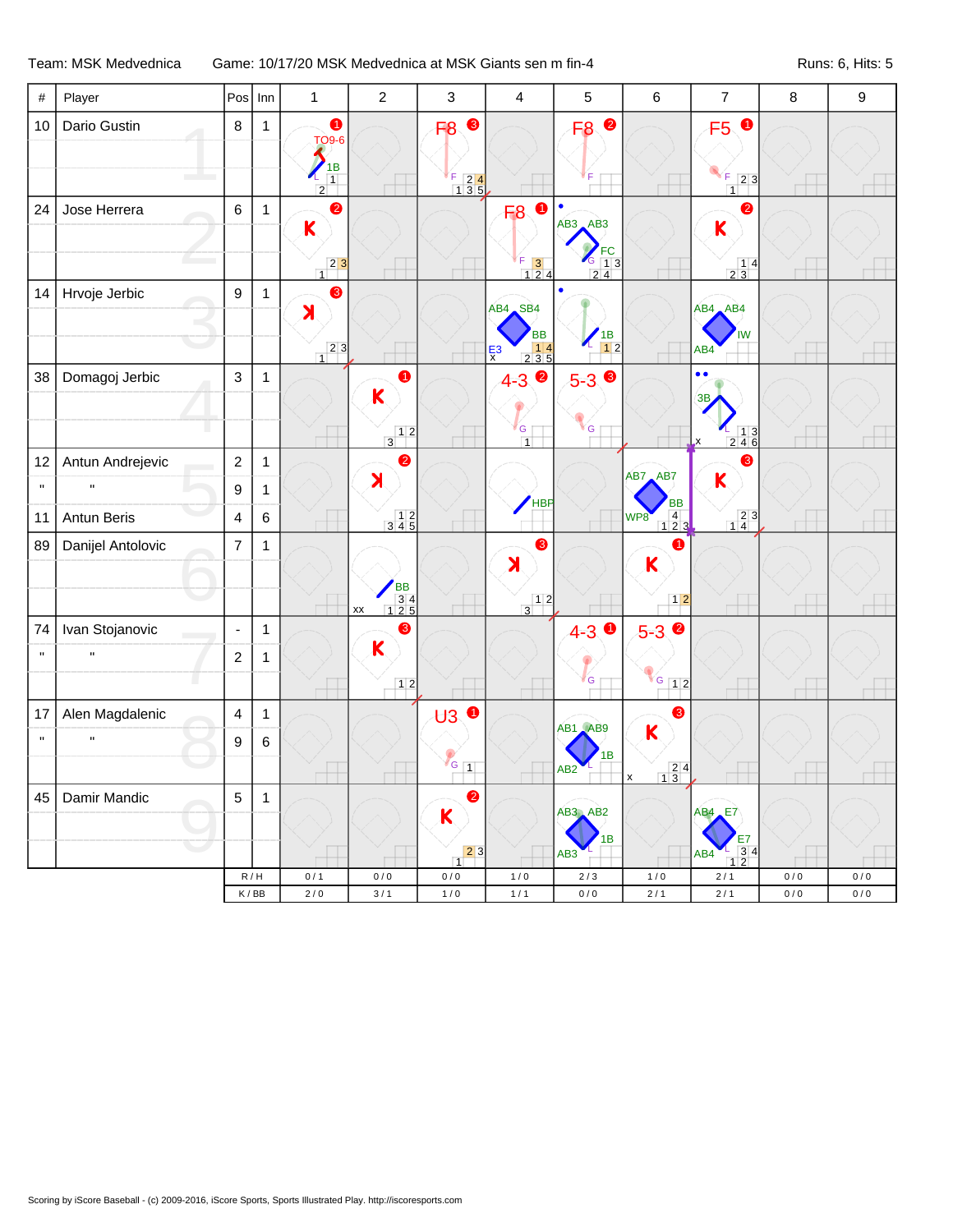Team: MSK Medvednica Game: 10/17/20 MSK Medvednica at MSK Giants sen m fin-4 Runs: 6, Hits: 5

| $\#$         | Player             | Pos                     | Inn          | $\mathbf{1}$                                                     | $\overline{2}$                                                                        | 3                                                                                               | $\overline{\mathbf{4}}$                                                                            | 5                                            | 6                                                    | $\overline{7}$                                                                  | $\bf 8$   | 9         |
|--------------|--------------------|-------------------------|--------------|------------------------------------------------------------------|---------------------------------------------------------------------------------------|-------------------------------------------------------------------------------------------------|----------------------------------------------------------------------------------------------------|----------------------------------------------|------------------------------------------------------|---------------------------------------------------------------------------------|-----------|-----------|
| 10           | Dario Gustin       | 8                       | $\mathbf{1}$ | $\bullet$<br><b>TO9-6</b><br>1B<br>$\boxed{1}$<br>$\overline{2}$ |                                                                                       | ❸<br>F <sub>8</sub><br>F<br>$\begin{array}{ c c }\n\hline\nF & 2 & 4 \\ 1 & 3 & 5\n\end{array}$ |                                                                                                    | F8 <sup>0</sup>                              |                                                      | $\bullet$<br>F5<br>F<br>$\boxed{2}$ 3<br>$\overline{1}$                         |           |           |
| 24           | Jose Herrera       | 6                       | 1            | $\bullet$<br>$\mathsf K$<br>$23$<br>$\overline{1}$               |                                                                                       |                                                                                                 | $\bullet$<br>F <sub>8</sub><br>$\begin{array}{ c c }\nF & 3 \\ 1 & 2 & 4\n\end{array}$             | $\bullet$<br>$AB3$ $AB3$<br>$FC$<br>13<br>24 |                                                      | ❷<br>K<br>$\frac{14}{23}$                                                       |           |           |
| 14           | Hrvoje Jerbic      | $\boldsymbol{9}$        | $\mathbf{1}$ | ❸<br>$\lambda$<br>$23$<br>$\overline{1}$                         |                                                                                       |                                                                                                 | AB4 SB4<br><b>BB</b><br>$\begin{array}{ c c c }\n\hline\n&14 \\ 235\n\end{array}$<br>$\frac{E}{x}$ | $\bullet$<br>$\frac{1}{12}$                  |                                                      | AB4 AB4<br>IW<br>AB4                                                            |           |           |
| 38           | Domagoj Jerbic     | 3                       | $\mathbf{1}$ |                                                                  | $\bullet$<br>$\mathsf{K}$<br>$\begin{array}{c c} & 1 & 2 \\ \hline 3 & & \end{array}$ |                                                                                                 | $\bullet$<br>$4 - 3$<br>G<br>$\overline{1}$                                                        | $5 - 3$<br>G                                 |                                                      | $\bullet$<br>$\bullet$<br>3В<br>$\frac{1}{2}$ $\frac{1}{4}$ $\frac{3}{6}$<br>.x |           |           |
| 12           | Antun Andrejevic   | $\sqrt{2}$              | 1            |                                                                  | $\bullet$<br>$\blacktriangleright$                                                    |                                                                                                 |                                                                                                    |                                              | AB7 AB7                                              | 3<br>K                                                                          |           |           |
| $\mathbf{H}$ | $\mathbf{H}$       | $\boldsymbol{9}$        | $\mathbf 1$  |                                                                  |                                                                                       |                                                                                                 | <b>HBP</b>                                                                                         |                                              | <b>BB</b>                                            |                                                                                 |           |           |
| 11           | <b>Antun Beris</b> | $\overline{\mathbf{4}}$ | $\,6\,$      |                                                                  | $\begin{array}{c} 12 \\ 345 \end{array}$                                              |                                                                                                 |                                                                                                    |                                              | $\begin{array}{c} 4 \\ 1 \ 2 \ 3 \end{array}$<br>WP8 | $\begin{bmatrix} 2 & 3 \\ 1 & 4 \end{bmatrix}$                                  |           |           |
| 89           | Danijel Antolovic  | $\overline{7}$          | $\mathbf 1$  |                                                                  | BB<br>34<br>125<br>XX                                                                 |                                                                                                 | ❸<br>$\blacktriangleright$<br>$3^{12}$                                                             |                                              | 0<br>$\mathbf K$<br>$12$                             |                                                                                 |           |           |
| 74           | Ivan Stojanovic    | $\blacksquare$          | $\mathbf{1}$ |                                                                  | 3                                                                                     |                                                                                                 |                                                                                                    | $\bullet$<br>$4 - 3$                         | $5-3$                                                |                                                                                 |           |           |
| $\mathbf{u}$ | $\mathbf H$        | $\boldsymbol{2}$        | 1            |                                                                  | $\mathsf{K}$                                                                          |                                                                                                 |                                                                                                    | G                                            |                                                      |                                                                                 |           |           |
|              |                    |                         |              |                                                                  | $12$                                                                                  |                                                                                                 |                                                                                                    |                                              | $G$ 12                                               |                                                                                 |           |           |
| 17           | Alen Magdalenic    | $\overline{\mathbf{4}}$ | $\mathbf{1}$ |                                                                  |                                                                                       | $\bullet$<br>$\bigcup$                                                                          |                                                                                                    | AB1 AB9                                      | 3<br>$\mathsf{K}$                                    |                                                                                 |           |           |
| $\mathbf{u}$ | $\mathbf{H}$       | 9                       | $\,6\,$      |                                                                  |                                                                                       | $\sqrt{G}$ 1                                                                                    |                                                                                                    | 1B<br>AB <sub>2</sub>                        | $\frac{24}{13}$                                      |                                                                                 |           |           |
| 45           | Damir Mandic       | $\mathbf 5$             | $\mathbf{1}$ |                                                                  |                                                                                       | ❷<br>K                                                                                          |                                                                                                    | AB3 AB2<br>1B                                |                                                      | $AB4$ <sub><math>E7</math></sub><br>E7                                          |           |           |
|              |                    |                         |              |                                                                  |                                                                                       | 23<br>1                                                                                         |                                                                                                    | AB3                                          |                                                      | $\frac{3}{2}$ 4<br>AB4<br>$\overline{1}$                                        |           |           |
|              |                    |                         | R/H          | 0/1                                                              | 0/0                                                                                   | $0\,/\,0$                                                                                       | 1/0                                                                                                | $2/3$                                        | 1/0                                                  | $2/1$                                                                           | 0/0       | 0/0       |
|              |                    |                         | K/BB         | $2/0$                                                            | 3/1                                                                                   | 1/0                                                                                             | $1/1$                                                                                              | $0/0$                                        | $2/1$                                                | $2/1$                                                                           | $0\,/\,0$ | $0\,/\,0$ |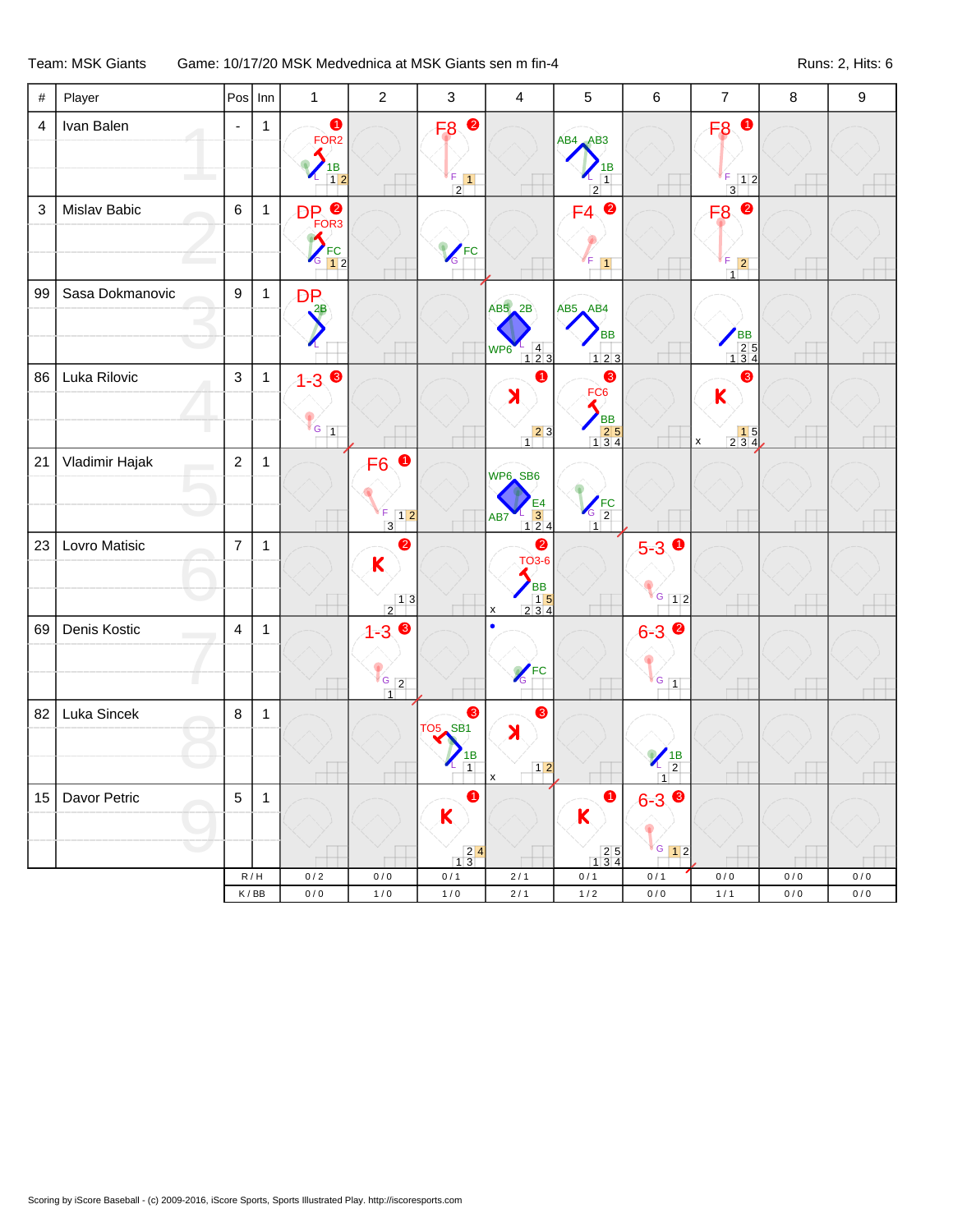## Team: MSK Giants Game: 10/17/20 MSK Medvednica at MSK Giants sen m fin-4 Runs: 2, Hits: 6

| $\#$                      | Player            | Pos            | Inn                         | $\mathbf{1}$                                                    | $\overline{2}$                                                        | 3                                                                             | $\overline{4}$                                                                                                             | 5                                                           | $\,6$                         | $\overline{7}$                                          | $\bf 8$   | $\boldsymbol{9}$ |
|---------------------------|-------------------|----------------|-----------------------------|-----------------------------------------------------------------|-----------------------------------------------------------------------|-------------------------------------------------------------------------------|----------------------------------------------------------------------------------------------------------------------------|-------------------------------------------------------------|-------------------------------|---------------------------------------------------------|-----------|------------------|
| $\overline{4}$            | Ivan Balen        | $\blacksquare$ | $\mathbf{1}$                | $\bullet$<br>FOR <sub>2</sub><br>$\frac{1}{1}$<br>$\frac{1}{2}$ |                                                                       | $\bullet$<br>F <sub>8</sub><br>$\frac{F}{2}$ 1                                |                                                                                                                            | AB4 AB3<br>1В<br>$\overline{1}$<br>$\overline{2}$           |                               | $\bullet$<br>F <sub>8</sub><br>$F$ 12<br>$\overline{3}$ |           |                  |
| $\ensuremath{\mathsf{3}}$ | Mislav Babic      | $\,6\,$        | $\mathbf{1}$                | DP <sup>2</sup><br>$\blacktriangle$<br>$\frac{1}{6}$ FC         |                                                                       | <b>VEC</b>                                                                    |                                                                                                                            | $\bullet$<br>F4<br>F<br>$\vert$ 1                           |                               | $\bullet$<br>F <sub>8</sub><br>$\frac{F}{1}$ 2          |           |                  |
| 99                        | Sasa Dokmanovic   | 9              | $\mathbf{1}$                | <b>DP</b><br>$^2$ B                                             |                                                                       |                                                                               | $AB5$ $2B$<br>$\begin{array}{ c c }\n1 & 4 \\ 1 & 2 & 3\n\end{array}$<br>WP6                                               | $AB5$ $AB4$<br><b>BB</b><br>123                             |                               | BB<br>25<br>134                                         |           |                  |
| 86                        | Luka Rilovic      | $\mathfrak{Z}$ | $\mathbf{1}$                | $1 - 30$<br>$V_{G_{1}}$                                         |                                                                       |                                                                               | 4<br>X<br>$\begin{array}{c c} & 2 & 3 \\ 1 & & \end{array}$                                                                | ❸<br>FC <sub>6</sub><br>BB<br>25<br>134                     |                               | ❸<br>K<br>$\begin{array}{c} 15 \\ 234 \end{array}$<br>x |           |                  |
| 21                        | Vladimir Hajak    | $\overline{c}$ | $\mathbf{1}$                |                                                                 | $\bullet$<br>F <sub>6</sub><br>F.<br>$\boxed{1 2}$<br>$\overline{3}$  |                                                                               | WP6 SB6<br>$\begin{array}{c}\nE4 \\ \hline\n3 \\ 124\n\end{array}$<br>AB7                                                  | $\sqrt{\frac{FC}{2}}$<br>$\overline{1}$                     |                               |                                                         |           |                  |
| 23                        | Lovro Matisic     | $\overline{7}$ | $\mathbf{1}$                |                                                                 | $\bullet$<br>$\mathsf{K}$<br>$\begin{array}{c c} & 1 & 3 \end{array}$ |                                                                               | $\bullet$<br><b>TO3-6</b><br><b>BB</b><br>$\begin{array}{ c c c }\n\hline\n& 15 \\ 234\n\end{array}$<br>$\pmb{\mathsf{x}}$ |                                                             | $5-3$ 0<br>$G$ 12             |                                                         |           |                  |
| 69                        | Denis Kostic<br>П | 4              | $\mathbf{1}$                |                                                                 | $1 - 3$<br>$\frac{1}{1}$ $\frac{1}{2}$                                |                                                                               | $\sqrt{\frac{FC}{G}}$                                                                                                      |                                                             | $6 - 3$<br>$G_{1}$            |                                                         |           |                  |
| 82                        | Luka Sincek       | $\,8\,$        | $\mathbf{1}$                |                                                                 |                                                                       | ❸<br><b>TO5</b> SB1<br>$\frac{1}{1}$                                          | ❸<br>$\blacktriangleright$<br>$12$<br>X                                                                                    |                                                             | $\frac{1}{2}$                 |                                                         |           |                  |
| 15                        | Davor Petric      | $\sqrt{5}$     | 1                           |                                                                 |                                                                       | 0<br>K<br>$\begin{array}{ c c }\n\hline\n2 & 4 \\ \hline\n1 & 3\n\end{array}$ |                                                                                                                            | 0<br>K<br>$\begin{array}{c} 2 & 5 \\ 1 & 3 & 4 \end{array}$ | ❸<br>$6 - 3$<br>$\sqrt{G}$ 12 |                                                         |           |                  |
|                           |                   |                | R/H                         | $0/2$                                                           | 0/0                                                                   | 0/1                                                                           | 2/1                                                                                                                        | 0/1                                                         | 0/1                           | 0/0                                                     | 0/0       | 0/0              |
|                           |                   |                | $\mathsf K\,/\,\mathsf{BB}$ | $0/0$                                                           | $1/0$                                                                 | $1/0$                                                                         | $2/1$                                                                                                                      | $1/2$                                                       | $0/0$                         | $1/1$                                                   | $0\,/\,0$ | $0\,/\,0$        |